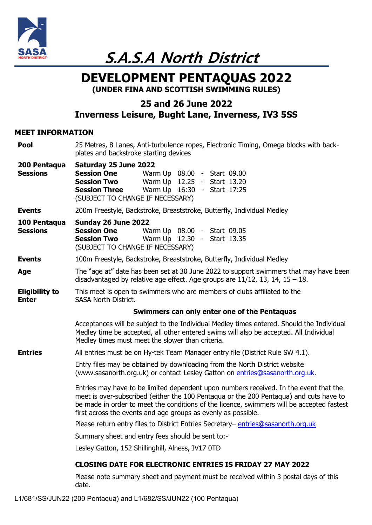

**S.A.S.A North District** 

# **DEVELOPMENT PENTAQUAS 2022 (UNDER FINA AND SCOTTISH SWIMMING RULES)**

## **25 and 26 June 2022 Inverness Leisure, Bught Lane, Inverness, IV3 5SS**

### **MEET INFORMATION**

| <b>Pool</b>                           | 25 Metres, 8 Lanes, Anti-turbulence ropes, Electronic Timing, Omega blocks with back-<br>plates and backstroke starting devices                                                                                                                                                                                                               |  |  |  |  |  |  |
|---------------------------------------|-----------------------------------------------------------------------------------------------------------------------------------------------------------------------------------------------------------------------------------------------------------------------------------------------------------------------------------------------|--|--|--|--|--|--|
| 200 Pentaqua<br><b>Sessions</b>       | Saturday 25 June 2022<br><b>Session One</b><br>Warm Up 08.00 - Start 09.00<br><b>Session Two</b><br>Warm Up 12.25 - Start 13.20<br>Warm Up 16:30 - Start 17:25<br><b>Session Three</b><br>(SUBJECT TO CHANGE IF NECESSARY)                                                                                                                    |  |  |  |  |  |  |
| <b>Events</b>                         | 200m Freestyle, Backstroke, Breaststroke, Butterfly, Individual Medley                                                                                                                                                                                                                                                                        |  |  |  |  |  |  |
| 100 Pentaqua<br><b>Sessions</b>       | Sunday 26 June 2022<br><b>Session One</b><br>Warm Up 08.00 - Start 09.05<br><b>Session Two</b><br>Warm Up 12.30 - Start 13.35<br>(SUBJECT TO CHANGE IF NECESSARY)                                                                                                                                                                             |  |  |  |  |  |  |
| <b>Events</b>                         | 100m Freestyle, Backstroke, Breaststroke, Butterfly, Individual Medley                                                                                                                                                                                                                                                                        |  |  |  |  |  |  |
| Age                                   | The "age at" date has been set at 30 June 2022 to support swimmers that may have been<br>disadvantaged by relative age effect. Age groups are $11/12$ , 13, 14, 15 - 18.                                                                                                                                                                      |  |  |  |  |  |  |
| <b>Eligibility to</b><br><b>Enter</b> | This meet is open to swimmers who are members of clubs affiliated to the<br><b>SASA North District.</b>                                                                                                                                                                                                                                       |  |  |  |  |  |  |
|                                       | Swimmers can only enter one of the Pentaquas                                                                                                                                                                                                                                                                                                  |  |  |  |  |  |  |
|                                       | Acceptances will be subject to the Individual Medley times entered. Should the Individual<br>Medley time be accepted, all other entered swims will also be accepted. All Individual<br>Medley times must meet the slower than criteria.                                                                                                       |  |  |  |  |  |  |
| <b>Entries</b>                        | All entries must be on Hy-tek Team Manager entry file (District Rule SW 4.1).                                                                                                                                                                                                                                                                 |  |  |  |  |  |  |
|                                       | Entry files may be obtained by downloading from the North District website<br>(www.sasanorth.org.uk) or contact Lesley Gatton on entries@sasanorth.org.uk.                                                                                                                                                                                    |  |  |  |  |  |  |
|                                       | Entries may have to be limited dependent upon numbers received. In the event that the<br>meet is over-subscribed (either the 100 Pentagua or the 200 Pentagua) and cuts have to<br>be made in order to meet the conditions of the licence, swimmers will be accepted fastest<br>first across the events and age groups as evenly as possible. |  |  |  |  |  |  |
|                                       | Please return entry files to District Entries Secretary- entries@sasanorth.org.uk                                                                                                                                                                                                                                                             |  |  |  |  |  |  |
|                                       | Summary sheet and entry fees should be sent to:-                                                                                                                                                                                                                                                                                              |  |  |  |  |  |  |
|                                       | Lesley Gatton, 152 Shillinghill, Alness, IV17 0TD                                                                                                                                                                                                                                                                                             |  |  |  |  |  |  |
|                                       | <b>CLOSING DATE FOR ELECTRONIC ENTRIES IS FRIDAY 27 MAY 2022</b>                                                                                                                                                                                                                                                                              |  |  |  |  |  |  |
|                                       | Dlages note summary sheet and nayment must be resolved within 2 nostal days of this                                                                                                                                                                                                                                                           |  |  |  |  |  |  |

Please note summary sheet and payment must be received within 3 postal days of this date.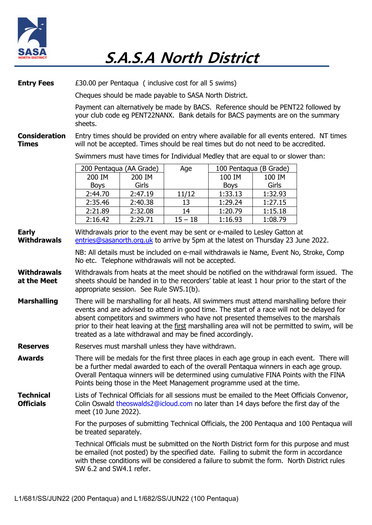

| <b>Entry Fees</b>                    | £30.00 per Pentagua (inclusive cost for all 5 swims)                                                                                                                                                                                                                                                                                                    |                    |                 |                                                 |                    |                                                                                                                                                                                                                                                                                              |  |  |
|--------------------------------------|---------------------------------------------------------------------------------------------------------------------------------------------------------------------------------------------------------------------------------------------------------------------------------------------------------------------------------------------------------|--------------------|-----------------|-------------------------------------------------|--------------------|----------------------------------------------------------------------------------------------------------------------------------------------------------------------------------------------------------------------------------------------------------------------------------------------|--|--|
|                                      | Cheques should be made payable to SASA North District.                                                                                                                                                                                                                                                                                                  |                    |                 |                                                 |                    |                                                                                                                                                                                                                                                                                              |  |  |
|                                      | Payment can alternatively be made by BACS. Reference should be PENT22 followed by<br>your club code eg PENT22NANX. Bank details for BACS payments are on the summary<br>sheets.                                                                                                                                                                         |                    |                 |                                                 |                    |                                                                                                                                                                                                                                                                                              |  |  |
| <b>Consideration</b><br><b>Times</b> | will not be accepted. Times should be real times but do not need to be accredited.                                                                                                                                                                                                                                                                      |                    |                 |                                                 |                    | Entry times should be provided on entry where available for all events entered. NT times                                                                                                                                                                                                     |  |  |
|                                      | Swimmers must have times for Individual Medley that are equal to or slower than:                                                                                                                                                                                                                                                                        |                    |                 |                                                 |                    |                                                                                                                                                                                                                                                                                              |  |  |
|                                      | 200 Pentaqua (AA Grade)<br>200 IM<br><b>Boys</b>                                                                                                                                                                                                                                                                                                        | 200 IM<br>Girls    | Age             | 100 Pentaqua (B Grade)<br>100 IM<br><b>Boys</b> | 100 IM<br>Girls    |                                                                                                                                                                                                                                                                                              |  |  |
|                                      | 2:44.70                                                                                                                                                                                                                                                                                                                                                 | 2:47.19            | 11/12           | 1:33.13                                         | 1:32.93            |                                                                                                                                                                                                                                                                                              |  |  |
|                                      | 2:35.46                                                                                                                                                                                                                                                                                                                                                 | 2:40.38            | 13              | 1:29.24                                         | 1:27.15            |                                                                                                                                                                                                                                                                                              |  |  |
|                                      | 2:21.89<br>2:16.42                                                                                                                                                                                                                                                                                                                                      | 2:32.08<br>2:29.71 | 14<br>$15 - 18$ | 1:20.79<br>1:16.93                              | 1:15.18<br>1:08.79 |                                                                                                                                                                                                                                                                                              |  |  |
| <b>Early</b><br><b>Withdrawals</b>   | Withdrawals prior to the event may be sent or e-mailed to Lesley Gatton at<br>entries@sasanorth.org.uk to arrive by 5pm at the latest on Thursday 23 June 2022.                                                                                                                                                                                         |                    |                 |                                                 |                    |                                                                                                                                                                                                                                                                                              |  |  |
|                                      | No etc. Telephone withdrawals will not be accepted.                                                                                                                                                                                                                                                                                                     |                    |                 |                                                 |                    | NB: All details must be included on e-mail withdrawals ie Name, Event No, Stroke, Comp                                                                                                                                                                                                       |  |  |
| <b>Withdrawals</b><br>at the Meet    | appropriate session. See Rule SW5.1(b).                                                                                                                                                                                                                                                                                                                 |                    |                 |                                                 |                    | Withdrawals from heats at the meet should be notified on the withdrawal form issued. The<br>sheets should be handed in to the recorders' table at least 1 hour prior to the start of the                                                                                                     |  |  |
| <b>Marshalling</b>                   | absent competitors and swimmers who have not presented themselves to the marshals<br>treated as a late withdrawal and may be fined accordingly.                                                                                                                                                                                                         |                    |                 |                                                 |                    | There will be marshalling for all heats. All swimmers must attend marshalling before their<br>events and are advised to attend in good time. The start of a race will not be delayed for<br>prior to their heat leaving at the first marshalling area will not be permitted to swim, will be |  |  |
| <b>Reserves</b>                      | Reserves must marshall unless they have withdrawn.                                                                                                                                                                                                                                                                                                      |                    |                 |                                                 |                    |                                                                                                                                                                                                                                                                                              |  |  |
| <b>Awards</b>                        | There will be medals for the first three places in each age group in each event. There will<br>be a further medal awarded to each of the overall Pentaqua winners in each age group.<br>Overall Pentaqua winners will be determined using cumulative FINA Points with the FINA<br>Points being those in the Meet Management programme used at the time. |                    |                 |                                                 |                    |                                                                                                                                                                                                                                                                                              |  |  |
| <b>Technical</b><br><b>Officials</b> | Lists of Technical Officials for all sessions must be emailed to the Meet Officials Convenor,<br>Colin Oswald theoswalds2@icloud.com no later than 14 days before the first day of the<br>meet (10 June 2022).                                                                                                                                          |                    |                 |                                                 |                    |                                                                                                                                                                                                                                                                                              |  |  |
|                                      | be treated separately.                                                                                                                                                                                                                                                                                                                                  |                    |                 |                                                 |                    | For the purposes of submitting Technical Officials, the 200 Pentagua and 100 Pentagua will                                                                                                                                                                                                   |  |  |
|                                      | Technical Officials must be submitted on the North District form for this purpose and must<br>be emailed (not posted) by the specified date. Failing to submit the form in accordance<br>with these conditions will be considered a failure to submit the form. North District rules<br>SW 6.2 and SW4.1 refer.                                         |                    |                 |                                                 |                    |                                                                                                                                                                                                                                                                                              |  |  |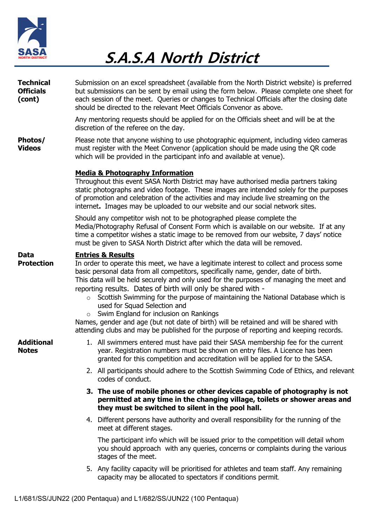

| <b>Technical</b><br><b>Officials</b><br>(cont) | Submission on an excel spreadsheet (available from the North District website) is preferred<br>but submissions can be sent by email using the form below. Please complete one sheet for<br>each session of the meet. Queries or changes to Technical Officials after the closing date<br>should be directed to the relevant Meet Officials Convenor as above.                                                                                                                                                                                                                                                                                                                                                                          |  |  |  |  |  |
|------------------------------------------------|----------------------------------------------------------------------------------------------------------------------------------------------------------------------------------------------------------------------------------------------------------------------------------------------------------------------------------------------------------------------------------------------------------------------------------------------------------------------------------------------------------------------------------------------------------------------------------------------------------------------------------------------------------------------------------------------------------------------------------------|--|--|--|--|--|
|                                                | Any mentoring requests should be applied for on the Officials sheet and will be at the<br>discretion of the referee on the day.                                                                                                                                                                                                                                                                                                                                                                                                                                                                                                                                                                                                        |  |  |  |  |  |
| Photos/<br><b>Videos</b>                       | Please note that anyone wishing to use photographic equipment, including video cameras<br>must register with the Meet Convenor (application should be made using the QR code<br>which will be provided in the participant info and available at venue).                                                                                                                                                                                                                                                                                                                                                                                                                                                                                |  |  |  |  |  |
|                                                | <b>Media &amp; Photography Information</b><br>Throughout this event SASA North District may have authorised media partners taking<br>static photographs and video footage. These images are intended solely for the purposes<br>of promotion and celebration of the activities and may include live streaming on the<br>internet. Images may be uploaded to our website and our social network sites.                                                                                                                                                                                                                                                                                                                                  |  |  |  |  |  |
|                                                | Should any competitor wish not to be photographed please complete the<br>Media/Photography Refusal of Consent Form which is available on our website. If at any<br>time a competitor wishes a static image to be removed from our website, 7 days' notice<br>must be given to SASA North District after which the data will be removed.                                                                                                                                                                                                                                                                                                                                                                                                |  |  |  |  |  |
| <b>Data</b><br><b>Protection</b>               | <b>Entries &amp; Results</b><br>In order to operate this meet, we have a legitimate interest to collect and process some<br>basic personal data from all competitors, specifically name, gender, date of birth.<br>This data will be held securely and only used for the purposes of managing the meet and<br>reporting results. Dates of birth will only be shared with -<br>Scottish Swimming for the purpose of maintaining the National Database which is<br>$\circ$<br>used for Squad Selection and<br>Swim England for inclusion on Rankings<br>Names, gender and age (but not date of birth) will be retained and will be shared with<br>attending clubs and may be published for the purpose of reporting and keeping records. |  |  |  |  |  |
| <b>Additional</b><br><b>Notes</b>              | 1. All swimmers entered must have paid their SASA membership fee for the current<br>year. Registration numbers must be shown on entry files. A Licence has been<br>granted for this competition and accreditation will be applied for to the SASA.                                                                                                                                                                                                                                                                                                                                                                                                                                                                                     |  |  |  |  |  |
|                                                | 2. All participants should adhere to the Scottish Swimming Code of Ethics, and relevant<br>codes of conduct.                                                                                                                                                                                                                                                                                                                                                                                                                                                                                                                                                                                                                           |  |  |  |  |  |
|                                                | 3. The use of mobile phones or other devices capable of photography is not<br>permitted at any time in the changing village, toilets or shower areas and<br>they must be switched to silent in the pool hall.                                                                                                                                                                                                                                                                                                                                                                                                                                                                                                                          |  |  |  |  |  |
|                                                | 4. Different persons have authority and overall responsibility for the running of the<br>meet at different stages.                                                                                                                                                                                                                                                                                                                                                                                                                                                                                                                                                                                                                     |  |  |  |  |  |
|                                                | The participant info which will be issued prior to the competition will detail whom<br>you should approach with any queries, concerns or complaints during the various<br>stages of the meet.                                                                                                                                                                                                                                                                                                                                                                                                                                                                                                                                          |  |  |  |  |  |
|                                                | 5. Any facility capacity will be prioritised for athletes and team staff. Any remaining<br>capacity may be allocated to spectators if conditions permit.                                                                                                                                                                                                                                                                                                                                                                                                                                                                                                                                                                               |  |  |  |  |  |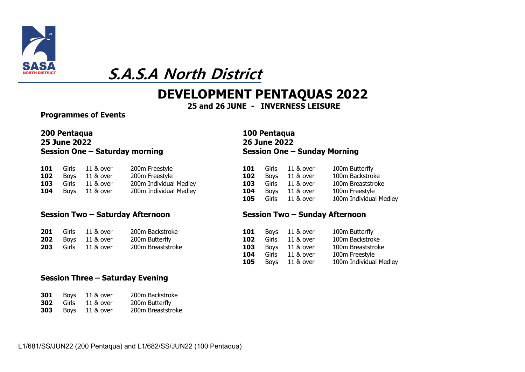

## **DEVELOPMENT PENTAQUAS 2022**

**and 26 JUNE - INVERNESS LEISURE**

**Programmes of Events**

### **200 Pentaqua 100 Pentaqua 25 June 2022 26 June 2022 Session One – Saturday morning Session One – Sunday Morning**

|  | <b>101</b> Girls 11 & over | 200m Freestyle         |  | <b>101</b> Girls 11 & over | 100m Butterfly    |
|--|----------------------------|------------------------|--|----------------------------|-------------------|
|  | <b>102</b> Boys 11 & over  | 200m Freestyle         |  | <b>102</b> Boys 11 & over  | 100m Backstroke   |
|  | <b>103</b> Girls 11 & over | 200m Individual Medley |  | <b>103</b> Girls 11 & over | 100m Breaststroke |
|  | <b>104</b> Boys 11 & over  | 200m Individual Medley |  | <b>104</b> Boys 11 & over  | 100m Freestyle    |

#### **Session Two – Saturday Afternoon Session Two – Sunday Afternoon**

|  | <b>201</b> Girls 11 & over | 200m Backstroke   |  | <b>101</b> Boys 11 & over  | 100m Butterfly |
|--|----------------------------|-------------------|--|----------------------------|----------------|
|  | <b>202</b> Boys 11 & over  | 200m Butterfly    |  | <b>102</b> Girls 11 & over | 100m Backstro  |
|  | <b>203</b> Girls 11 & over | 200m Breaststroke |  | <b>103</b> Boys 11 & over  | 100m Breastst  |

#### **Session Three – Saturday Evening**

| 301 | <b>Boys</b> | 11 & over | 200m Backstroke   |
|-----|-------------|-----------|-------------------|
| 302 | Girls       | 11 & over | 200m Butterfly    |
| 303 | Boys        | 11 & over | 200m Breaststroke |

| 101 | Girls       | 11 & over | 100m Butterfly         |
|-----|-------------|-----------|------------------------|
| 102 | <b>Boys</b> | 11 & over | 100m Backstroke        |
| 103 | Girls       | 11 & over | 100m Breaststroke      |
| 104 | <b>Boys</b> | 11 & over | 100m Freestyle         |
| 105 | Girls       | 11 & over | 100m Individual Medley |

|     | <b>201</b> Girls 11 & over | 200m Backstroke   | 101 | Boys 11 & over  | 100m Butterfly         |
|-----|----------------------------|-------------------|-----|-----------------|------------------------|
|     | <b>202</b> Boys 11 & over  | 200m Butterfly    | 102 | Girls 11 & over | 100m Backstroke        |
| 203 | Girls 11 & over            | 200m Breaststroke | 103 | Boys 11 & over  | 100m Breaststroke      |
|     |                            |                   | 104 | Girls 11 & over | 100m Freestyle         |
|     |                            |                   | 105 | Boys 11 & over  | 100m Individual Medley |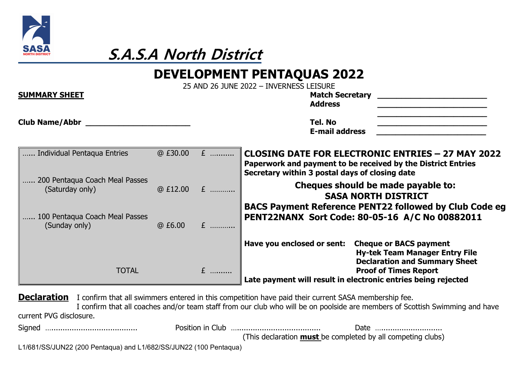

## **DEVELOPMENT PENTAQUAS 2022**

25 AND 26 JUNE 2022 – INVERNESS LEISURE

| <b>SUMMARY SHEET</b>                              |         | LY MILL LU JUINE LULL         | <b>Match Secretary</b><br><b>Address</b>                                                                                                                                   |
|---------------------------------------------------|---------|-------------------------------|----------------------------------------------------------------------------------------------------------------------------------------------------------------------------|
| <b>Club Name/Abbr</b>                             |         |                               | Tel. No<br><b>E-mail address</b>                                                                                                                                           |
| Individual Pentaqua Entries                       | @E30.00 | $E$                           | <b>CLOSING DATE FOR ELECTRONIC ENTRIES - 27 MAY 2022</b><br>Paperwork and payment to be received by the District Entries<br>Secretary within 3 postal days of closing date |
| 200 Pentaqua Coach Meal Passes<br>(Saturday only) |         | $@E12.00 E$                   | Cheques should be made payable to:<br><b>SASA NORTH DISTRICT</b><br><b>BACS Payment Reference PENT22 followed by Club Code eg</b>                                          |
| 100 Pentaqua Coach Meal Passes<br>(Sunday only)   | @E6.00  | $\mathbf{F}$ and $\mathbf{F}$ | PENT22NANX Sort Code: 80-05-16 A/C No 00882011                                                                                                                             |
| <b>TOTAL</b>                                      |         |                               | Have you enclosed or sent:<br><b>Cheque or BACS payment</b><br><b>Hy-tek Team Manager Entry File</b><br><b>Declaration and Summary Sheet</b>                               |
|                                                   |         | $E$                           | <b>Proof of Times Report</b><br>Late payment will result in electronic entries being rejected                                                                              |

**Declaration** I confirm that all swimmers entered in this competition have paid their current SASA membership fee. I confirm that all coaches and/or team staff from our club who will be on poolside are members of Scottish Swimming and have current PVG disclosure.

|                                                                   |  | Date                                                               |
|-------------------------------------------------------------------|--|--------------------------------------------------------------------|
|                                                                   |  | (This declaration <b>must</b> be completed by all competing clubs) |
| L1/681/SS/JUN22 (200 Pentaqua) and L1/682/SS/JUN22 (100 Pentaqua) |  |                                                                    |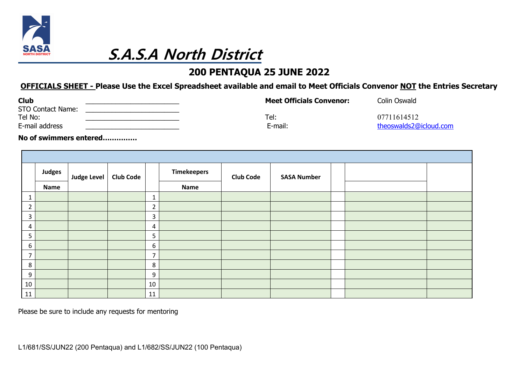

## **200 PENTAQUA 25 JUNE 2022**

## **OFFICIALS SHEET - Please Use the Excel Spreadsheet available and email to Meet Officials Convenor NOT the Entries Secretary**

| <b>Club</b><br><b>STO Contact Name:</b> | <b>Meet Officials Convenor:</b> | <b>Colin Oswald</b>    |
|-----------------------------------------|---------------------------------|------------------------|
| Tel No:                                 | Tel:                            | 07711614512            |
| E-mail address                          | E-mail:                         | theoswalds2@icloud.com |

**No of swimmers entered……………**

|                | Judges | <b>Judge Level</b> | <b>Club Code</b> |                | <b>Timekeepers</b> | <b>Club Code</b> | <b>SASA Number</b> |  |  |
|----------------|--------|--------------------|------------------|----------------|--------------------|------------------|--------------------|--|--|
|                | Name   |                    |                  |                | Name               |                  |                    |  |  |
| 1              |        |                    |                  | 1              |                    |                  |                    |  |  |
| $\overline{2}$ |        |                    |                  | $\overline{2}$ |                    |                  |                    |  |  |
| $\mathsf{3}$   |        |                    |                  | 3              |                    |                  |                    |  |  |
| 4              |        |                    |                  | 4              |                    |                  |                    |  |  |
| 5              |        |                    |                  | 5              |                    |                  |                    |  |  |
| 6              |        |                    |                  | 6              |                    |                  |                    |  |  |
| $\overline{7}$ |        |                    |                  | $\overline{7}$ |                    |                  |                    |  |  |
| 8              |        |                    |                  | $\,8\,$        |                    |                  |                    |  |  |
| 9              |        |                    |                  | 9              |                    |                  |                    |  |  |
| 10             |        |                    |                  | 10             |                    |                  |                    |  |  |
| 11             |        |                    |                  | 11             |                    |                  |                    |  |  |

Please be sure to include any requests for mentoring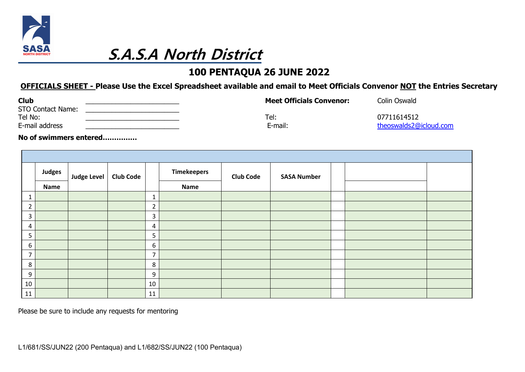

## **100 PENTAQUA 26 JUNE 2022**

## **OFFICIALS SHEET - Please Use the Excel Spreadsheet available and email to Meet Officials Convenor NOT the Entries Secretary**

| <b>Club</b><br><b>STO Contact Name:</b> | <b>Meet Officials Convenor:</b> | Colin Oswald           |
|-----------------------------------------|---------------------------------|------------------------|
| Tel No:                                 | Tel:                            | 07711614512            |
| E-mail address                          | E-mail:                         | theoswalds2@icloud.com |

**No of swimmers entered……………**

|                | Judges | <b>Judge Level</b> | <b>Club Code</b> |                | <b>Timekeepers</b> | <b>Club Code</b> | <b>SASA Number</b> |  |  |
|----------------|--------|--------------------|------------------|----------------|--------------------|------------------|--------------------|--|--|
|                | Name   |                    |                  |                | Name               |                  |                    |  |  |
| $\mathbf{1}$   |        |                    |                  | $\mathbf{1}$   |                    |                  |                    |  |  |
| $\overline{2}$ |        |                    |                  | $\overline{2}$ |                    |                  |                    |  |  |
| $\overline{3}$ |        |                    |                  | 3              |                    |                  |                    |  |  |
| 4              |        |                    |                  | 4              |                    |                  |                    |  |  |
| 5              |        |                    |                  | 5              |                    |                  |                    |  |  |
| 6              |        |                    |                  | 6              |                    |                  |                    |  |  |
| $\overline{7}$ |        |                    |                  | $\overline{7}$ |                    |                  |                    |  |  |
| 8              |        |                    |                  | 8              |                    |                  |                    |  |  |
| 9              |        |                    |                  | 9              |                    |                  |                    |  |  |
| 10             |        |                    |                  | 10             |                    |                  |                    |  |  |
| 11             |        |                    |                  | 11             |                    |                  |                    |  |  |

Please be sure to include any requests for mentoring